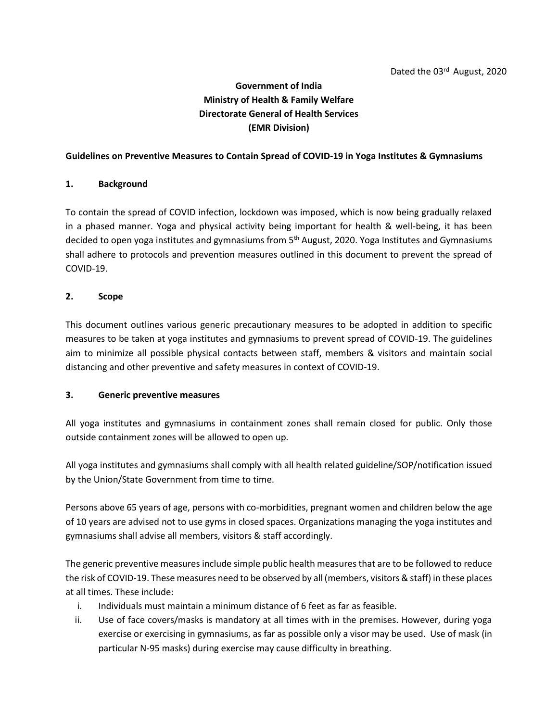# **Government of India Ministry of Health & Family Welfare Directorate General of Health Services (EMR Division)**

#### **Guidelines on Preventive Measures to Contain Spread of COVID-19 in Yoga Institutes & Gymnasiums**

#### **1. Background**

To contain the spread of COVID infection, lockdown was imposed, which is now being gradually relaxed in a phased manner. Yoga and physical activity being important for health & well-being, it has been decided to open yoga institutes and gymnasiums from 5<sup>th</sup> August, 2020. Yoga Institutes and Gymnasiums shall adhere to protocols and prevention measures outlined in this document to prevent the spread of COVID-19.

#### **2. Scope**

This document outlines various generic precautionary measures to be adopted in addition to specific measures to be taken at yoga institutes and gymnasiums to prevent spread of COVID-19. The guidelines aim to minimize all possible physical contacts between staff, members & visitors and maintain social distancing and other preventive and safety measures in context of COVID-19.

#### **3. Generic preventive measures**

All yoga institutes and gymnasiums in containment zones shall remain closed for public. Only those outside containment zones will be allowed to open up.

All yoga institutes and gymnasiums shall comply with all health related guideline/SOP/notification issued by the Union/State Government from time to time.

Persons above 65 years of age, persons with co-morbidities, pregnant women and children below the age of 10 years are advised not to use gyms in closed spaces. Organizations managing the yoga institutes and gymnasiums shall advise all members, visitors & staff accordingly.

The generic preventive measures include simple public health measures that are to be followed to reduce the risk of COVID-19. These measures need to be observed by all (members, visitors & staff) in these places at all times. These include:

- i. Individuals must maintain a minimum distance of 6 feet as far as feasible.
- ii. Use of face covers/masks is mandatory at all times with in the premises. However, during yoga exercise or exercising in gymnasiums, as far as possible only a visor may be used. Use of mask (in particular N-95 masks) during exercise may cause difficulty in breathing.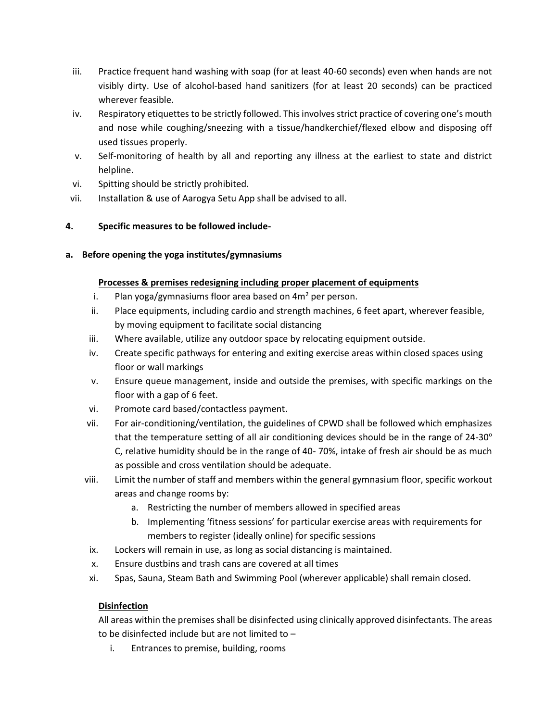- iii. Practice frequent hand washing with soap (for at least 40-60 seconds) even when hands are not visibly dirty. Use of alcohol-based hand sanitizers (for at least 20 seconds) can be practiced wherever feasible.
- iv. Respiratory etiquettes to be strictly followed. This involves strict practice of covering one's mouth and nose while coughing/sneezing with a tissue/handkerchief/flexed elbow and disposing off used tissues properly.
- v. Self-monitoring of health by all and reporting any illness at the earliest to state and district helpline.
- vi. Spitting should be strictly prohibited.
- vii. Installation & use of Aarogya Setu App shall be advised to all.

# **4. Specific measures to be followed include-**

**a. Before opening the yoga institutes/gymnasiums**

# **Processes & premises redesigning including proper placement of equipments**

- i. Plan yoga/gymnasiums floor area based on  $4m<sup>2</sup>$  per person.
- ii. Place equipments, including cardio and strength machines, 6 feet apart, wherever feasible, by moving equipment to facilitate social distancing
- iii. Where available, utilize any outdoor space by relocating equipment outside.
- iv. Create specific pathways for entering and exiting exercise areas within closed spaces using floor or wall markings
- v. Ensure queue management, inside and outside the premises, with specific markings on the floor with a gap of 6 feet.
- vi. Promote card based/contactless payment.
- vii. For air-conditioning/ventilation, the guidelines of CPWD shall be followed which emphasizes that the temperature setting of all air conditioning devices should be in the range of  $24-30^\circ$ C, relative humidity should be in the range of 40- 70%, intake of fresh air should be as much as possible and cross ventilation should be adequate.
- viii. Limit the number of staff and members within the general gymnasium floor, specific workout areas and change rooms by:
	- a. Restricting the number of members allowed in specified areas
	- b. Implementing 'fitness sessions' for particular exercise areas with requirements for members to register (ideally online) for specific sessions
- ix. Lockers will remain in use, as long as social distancing is maintained.
- x. Ensure dustbins and trash cans are covered at all times
- xi. Spas, Sauna, Steam Bath and Swimming Pool (wherever applicable) shall remain closed.

# **Disinfection**

All areas within the premises shall be disinfected using clinically approved disinfectants. The areas to be disinfected include but are not limited to –

i. Entrances to premise, building, rooms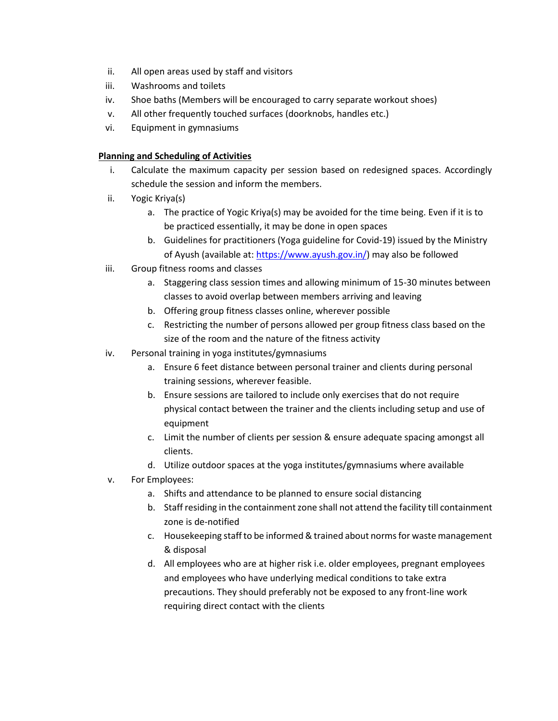- ii. All open areas used by staff and visitors
- iii. Washrooms and toilets
- iv. Shoe baths (Members will be encouraged to carry separate workout shoes)
- v. All other frequently touched surfaces (doorknobs, handles etc.)
- vi. Equipment in gymnasiums

### **Planning and Scheduling of Activities**

- i. Calculate the maximum capacity per session based on redesigned spaces. Accordingly schedule the session and inform the members.
- ii. Yogic Kriya(s)
	- a. The practice of Yogic Kriya(s) may be avoided for the time being. Even if it is to be practiced essentially, it may be done in open spaces
	- b. Guidelines for practitioners (Yoga guideline for Covid-19) issued by the Ministry of Ayush (available at: [https://www.ayush.gov.in/\)](https://www.ayush.gov.in/) may also be followed
- iii. Group fitness rooms and classes
	- a. Staggering class session times and allowing minimum of 15-30 minutes between classes to avoid overlap between members arriving and leaving
	- b. Offering group fitness classes online, wherever possible
	- c. Restricting the number of persons allowed per group fitness class based on the size of the room and the nature of the fitness activity
- iv. Personal training in yoga institutes/gymnasiums
	- a. Ensure 6 feet distance between personal trainer and clients during personal training sessions, wherever feasible.
	- b. Ensure sessions are tailored to include only exercises that do not require physical contact between the trainer and the clients including setup and use of equipment
	- c. Limit the number of clients per session & ensure adequate spacing amongst all clients.
	- d. Utilize outdoor spaces at the yoga institutes/gymnasiums where available
- v. For Employees:
	- a. Shifts and attendance to be planned to ensure social distancing
	- b. Staff residing in the containment zone shall not attend the facility till containment zone is de-notified
	- c. Housekeeping staff to be informed & trained about norms for waste management & disposal
	- d. All employees who are at higher risk i.e. older employees, pregnant employees and employees who have underlying medical conditions to take extra precautions. They should preferably not be exposed to any front-line work requiring direct contact with the clients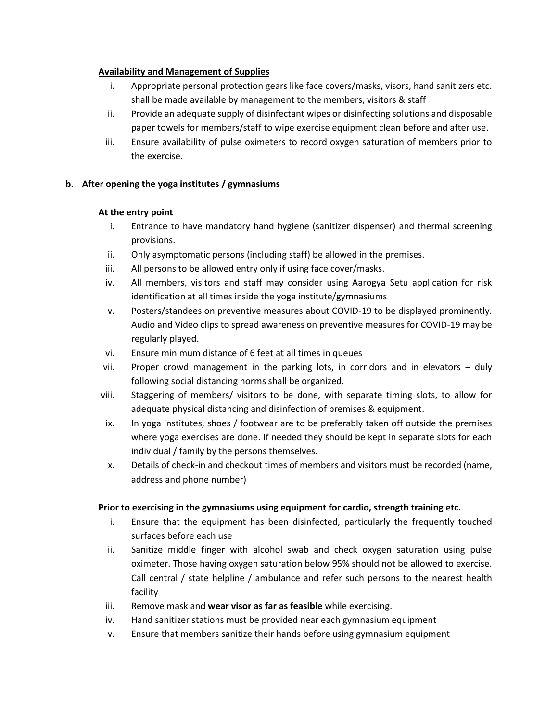### **Availability and Management of Supplies**

- i. Appropriate personal protection gears like face covers/masks, visors, hand sanitizers etc. shall be made available by management to the members, visitors & staff
- ii. Provide an adequate supply of disinfectant wipes or disinfecting solutions and disposable paper towels for members/staff to wipe exercise equipment clean before and after use.
- iii. Ensure availability of pulse oximeters to record oxygen saturation of members prior to the exercise.

# **b. After opening the yoga institutes / gymnasiums**

#### **At the entry point**

- i. Entrance to have mandatory hand hygiene (sanitizer dispenser) and thermal screening provisions.
- ii. Only asymptomatic persons (including staff) be allowed in the premises.
- iii. All persons to be allowed entry only if using face cover/masks.
- iv. All members, visitors and staff may consider using Aarogya Setu application for risk identification at all times inside the yoga institute/gymnasiums
- v. Posters/standees on preventive measures about COVID-19 to be displayed prominently. Audio and Video clips to spread awareness on preventive measures for COVID-19 may be regularly played.
- vi. Ensure minimum distance of 6 feet at all times in queues
- vii. Proper crowd management in the parking lots, in corridors and in elevators duly following social distancing norms shall be organized.
- viii. Staggering of members/ visitors to be done, with separate timing slots, to allow for adequate physical distancing and disinfection of premises & equipment.
- ix. In yoga institutes, shoes / footwear are to be preferably taken off outside the premises where yoga exercises are done. If needed they should be kept in separate slots for each individual / family by the persons themselves.
- x. Details of check-in and checkout times of members and visitors must be recorded (name, address and phone number)

# **Prior to exercising in the gymnasiums using equipment for cardio, strength training etc.**

- i. Ensure that the equipment has been disinfected, particularly the frequently touched surfaces before each use
- ii. Sanitize middle finger with alcohol swab and check oxygen saturation using pulse oximeter. Those having oxygen saturation below 95% should not be allowed to exercise. Call central / state helpline / ambulance and refer such persons to the nearest health facility
- iii. Remove mask and **wear visor as far as feasible** while exercising.
- iv. Hand sanitizer stations must be provided near each gymnasium equipment
- v. Ensure that members sanitize their hands before using gymnasium equipment